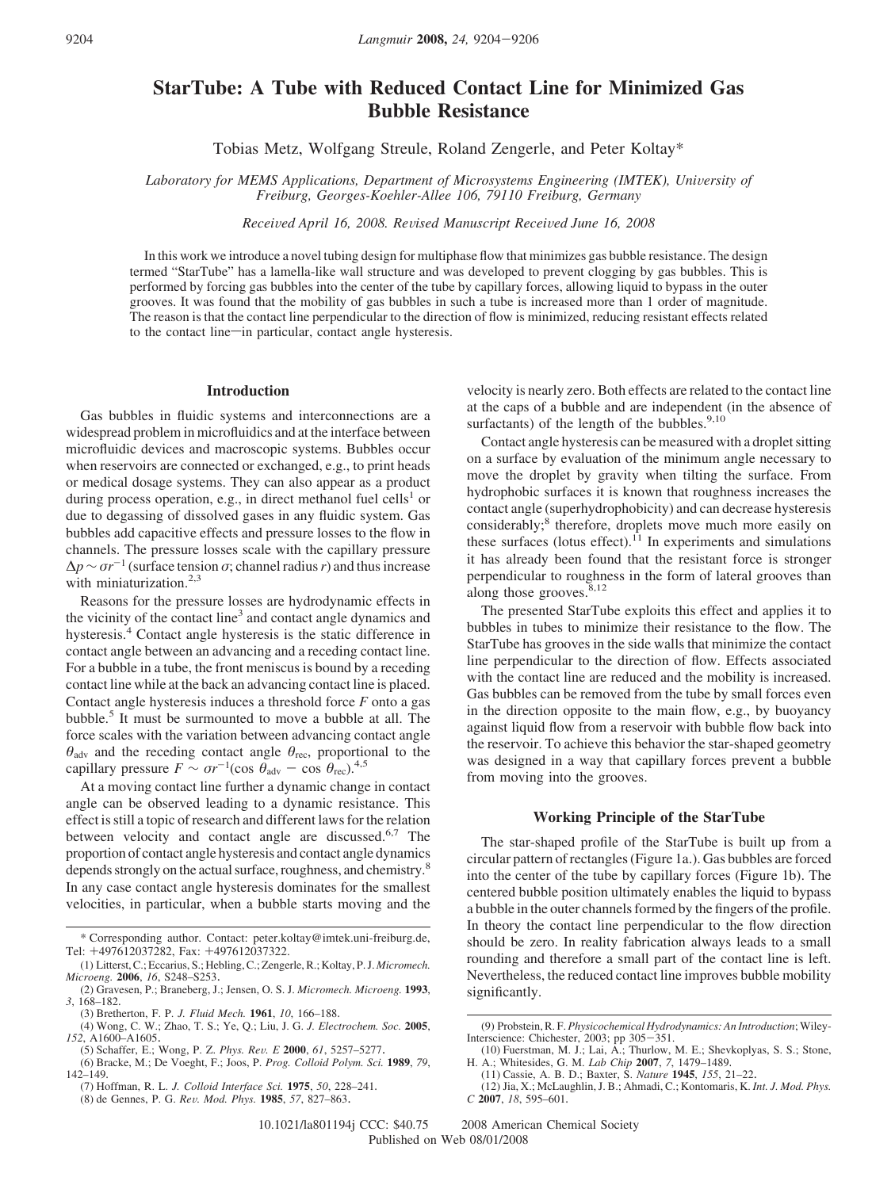# **StarTube: A Tube with Reduced Contact Line for Minimized Gas Bubble Resistance**

Tobias Metz, Wolfgang Streule, Roland Zengerle, and Peter Koltay\*

Laboratory for MEMS Applications, Department of Microsystems Engineering (IMTEK), University of *Freiburg, Georges-Koehler-Allee 106, 79110 Freiburg, Germany*

*Recei*V*ed April 16, 2008. Re*V*ised Manuscript Recei*V*ed June 16, 2008*

In this work we introduce a novel tubing design for multiphase flow that minimizes gas bubble resistance. The design termed "StarTube" has a lamella-like wall structure and was developed to prevent clogging by gas bubbles. This is performed by forcing gas bubbles into the center of the tube by capillary forces, allowing liquid to bypass in the outer grooves. It was found that the mobility of gas bubbles in such a tube is increased more than 1 order of magnitude. The reason is that the contact line perpendicular to the direction of flow is minimized, reducing resistant effects related to the contact line—in particular, contact angle hysteresis.

## **Introduction**

Gas bubbles in fluidic systems and interconnections are a widespread problem in microfluidics and at the interface between microfluidic devices and macroscopic systems. Bubbles occur when reservoirs are connected or exchanged, e.g., to print heads or medical dosage systems. They can also appear as a product during process operation, e.g., in direct methanol fuel cells<sup>1</sup> or due to degassing of dissolved gases in any fluidic system. Gas bubbles add capacitive effects and pressure losses to the flow in channels. The pressure losses scale with the capillary pressure  $\Delta p \sim \sigma r^{-1}$  (surface tension *σ*; channel radius *r*) and thus increase with miniaturization. $2,3$ 

Reasons for the pressure losses are hydrodynamic effects in the vicinity of the contact line<sup>3</sup> and contact angle dynamics and hysteresis.<sup>4</sup> Contact angle hysteresis is the static difference in contact angle between an advancing and a receding contact line. For a bubble in a tube, the front meniscus is bound by a receding contact line while at the back an advancing contact line is placed. Contact angle hysteresis induces a threshold force *F* onto a gas bubble.<sup>5</sup> It must be surmounted to move a bubble at all. The force scales with the variation between advancing contact angle *θ*adv and the receding contact angle *θ*rec, proportional to the capillary pressure  $F \sim \sigma r^{-1}(\cos \theta_{\text{adv}} - \cos \theta_{\text{rec}})^{4,5}$ 

At a moving contact line further a dynamic change in contact angle can be observed leading to a dynamic resistance. This effect is still a topic of research and different laws for the relation between velocity and contact angle are discussed.<sup>6,7</sup> The proportion of contact angle hysteresis and contact angle dynamics depends strongly on the actual surface, roughness, and chemistry.<sup>8</sup> In any case contact angle hysteresis dominates for the smallest velocities, in particular, when a bubble starts moving and the

(5) Schaffer, E.; Wong, P. Z. *Phys. Re*V*. E* **<sup>2000</sup>**, *<sup>61</sup>*, 5257–5277. (6) Bracke, M.; De Voeght, F.; Joos, P. *Prog. Colloid Polym. Sci.* **<sup>1989</sup>**, *<sup>79</sup>*, 142–149.

(7) Hoffman, R. L. *J. Colloid Interface Sci.* **1975**, *50*, 228–241. (8) de Gennes, P. G. *Re*V*. Mod. Phys.* **<sup>1985</sup>**, *<sup>57</sup>*, 827–863.

velocity is nearly zero. Both effects are related to the contact line at the caps of a bubble and are independent (in the absence of surfactants) of the length of the bubbles. $9,10$ 

Contact angle hysteresis can be measured with a droplet sitting on a surface by evaluation of the minimum angle necessary to move the droplet by gravity when tilting the surface. From hydrophobic surfaces it is known that roughness increases the contact angle (superhydrophobicity) and can decrease hysteresis considerably;<sup>8</sup> therefore, droplets move much more easily on these surfaces (lotus effect).<sup>11</sup> In experiments and simulations it has already been found that the resistant force is stronger perpendicular to roughness in the form of lateral grooves than along those grooves. $8,12$ 

The presented StarTube exploits this effect and applies it to bubbles in tubes to minimize their resistance to the flow. The StarTube has grooves in the side walls that minimize the contact line perpendicular to the direction of flow. Effects associated with the contact line are reduced and the mobility is increased. Gas bubbles can be removed from the tube by small forces even in the direction opposite to the main flow, e.g., by buoyancy against liquid flow from a reservoir with bubble flow back into the reservoir. To achieve this behavior the star-shaped geometry was designed in a way that capillary forces prevent a bubble from moving into the grooves.

## **Working Principle of the StarTube**

The star-shaped profile of the StarTube is built up from a circular pattern of rectangles (Figure 1a.). Gas bubbles are forced into the center of the tube by capillary forces (Figure 1b). The centered bubble position ultimately enables the liquid to bypass a bubble in the outer channels formed by the fingers of the profile. In theory the contact line perpendicular to the flow direction should be zero. In reality fabrication always leads to a small rounding and therefore a small part of the contact line is left. Nevertheless, the reduced contact line improves bubble mobility significantly.

<sup>\*</sup> Corresponding author. Contact: peter.koltay@imtek.uni-freiburg.de,

Tel: +497612037282, Fax: +497612037322. (1) Litterst, C.; Eccarius, S.; Hebling, C.; Zengerle, R.; Koltay, P. J. *Micromech. Microeng.* **2006**, *16*, S248–S253.

<sup>(2)</sup> Gravesen, P.; Braneberg, J.; Jensen, O. S. J. *Micromech. Microeng.* **1993**, *3*, 168–182.

<sup>(3)</sup> Bretherton, F. P. *J. Fluid Mech.* **1961**, *10*, 166–188.

<sup>(4)</sup> Wong, C. W.; Zhao, T. S.; Ye, Q.; Liu, J. G. *J. Electrochem. Soc.* **2005**, 152, A1600–A1605.<br> *(5)* Schaffer, E.; Wong, P. Z. Phys. Rev. E 2000, 61, 5257–5277.

<sup>(9)</sup> Probstein, R. F. *Physicochemical Hydrodynamics: An Introduction*; Wiley-Interscience: Chichester, 2003; pp 305-351. (10) Fuerstman, M. J.; Lai, A.; Thurlow, M. E.; Shevkoplyas, S. S.; Stone,

H. A.; Whitesides, G. M. *Lab Chip* **2007**, *7*, 1479–1489.

<sup>(11)</sup> Cassie, A. B. D.; Baxter, S. *Nature* **1945**, *155*, 21–22.

<sup>(12)</sup> Jia, X.; McLaughlin, J. B.; Ahmadi, C.; Kontomaris, K. *Int. J. Mod. Phys. C* **2007**, *18*, 595–601.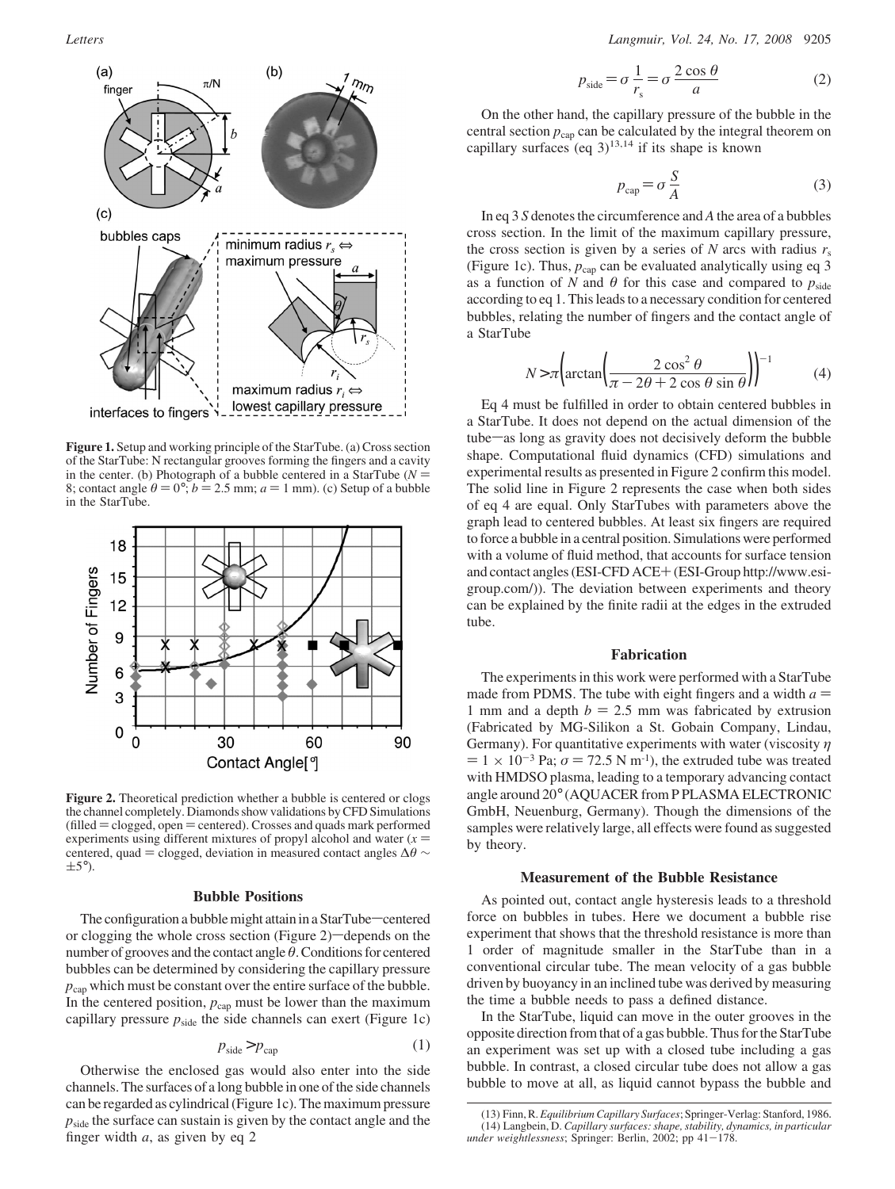

**Figure 1.** Setup and working principle of the StarTube. (a) Cross section of the StarTube: N rectangular grooves forming the fingers and a cavity<br>in the center. (b) Photograph of a bubble centered in a StarTube ( $N =$ in the center. (b) Photograph of a bubble centered in a StarTube ( $N = 8$ : contact angle  $\theta = 0^\circ$ :  $b = 2.5$  mm;  $a = 1$  mm). (c) Setup of a bubble 8; contact angle  $\theta = 0^{\circ}$ ; *b* = 2.5 mm; *a* = 1 mm). (c) Setup of a bubble in the StarTube. in the StarTube.



**Figure 2.** Theoretical prediction whether a bubble is centered or clogs the channel completely. Diamonds show validations by CFD Simulations  $(\text{filled} = \text{closed}, \text{open} = \text{centered})$ . Crosses and quads mark performed experiments using different mixtures of propyl alcohol and water  $(x =$ centered, quad = clogged, deviation in measured contact angles  $\Delta\theta$  ∼  $\pm$ 5°).

# **Bubble Positions**

The configuration a bubble might attain in a StarTube-centered or clogging the whole cross section (Figure 2)-depends on the number of grooves and the contact angle θ. Conditions for centered bubbles can be determined by considering the capillary pressure  $p_{\text{can}}$  which must be constant over the entire surface of the bubble. In the centered position,  $p_{cap}$  must be lower than the maximum capillary pressure *p*side the side channels can exert (Figure 1c)

$$
p_{\text{side}} > p_{\text{cap}} \tag{1}
$$

Otherwise the enclosed gas would also enter into the side channels. The surfaces of a long bubble in one of the side channels can be regarded as cylindrical (Figure 1c). The maximum pressure  $p_{side}$  the surface can sustain is given by the contact angle and the finger width *a*, as given by eq 2

$$
p_{\text{side}} = \sigma \frac{1}{r_s} = \sigma \frac{2 \cos \theta}{a} \tag{2}
$$

On the other hand, the capillary pressure of the bubble in the central section  $p_{cap}$  can be calculated by the integral theorem on capillary surfaces (eq  $3$ )<sup>13,14</sup> if its shape is known

$$
p_{\rm cap} = \sigma \frac{S}{A} \tag{3}
$$

In eq 3 *S* denotes the circumference and *A* the area of a bubbles cross section. In the limit of the maximum capillary pressure, the cross section is given by a series of  $N$  arcs with radius  $r_s$ (Figure 1c). Thus,  $p_{cap}$  can be evaluated analytically using eq 3 as a function of *N* and  $\theta$  for this case and compared to  $p_{\text{side}}$ according to eq 1. This leads to a necessary condition for centered bubbles, relating the number of fingers and the contact angle of a StarTube

$$
N > \pi \left( \arctan \left( \frac{2 \cos^2 \theta}{\pi - 2\theta + 2 \cos \theta \sin \theta} \right) \right)^{-1}
$$
 (4)  
Eq 4 must be fulfilled in order to obtain centered bubbles in

a StarTube. It does not depend on the actual dimension of the tube—as long as gravity does not decisively deform the bubble shape. Computational fluid dynamics (CFD) simulations and experimental results as presented in Figure 2 confirm this model. The solid line in Figure 2 represents the case when both sides of eq 4 are equal. Only StarTubes with parameters above the graph lead to centered bubbles. At least six fingers are required to force a bubble in a central position. Simulations were performed with a volume of fluid method, that accounts for surface tension and contact angles (ESI-CFD ACE+(ESI-Group http://www.esigroup.com/)). The deviation between experiments and theory can be explained by the finite radii at the edges in the extruded tube.

#### **Fabrication**

The experiments in this work were performed with a StarTube made from PDMS. The tube with eight fingers and a width  $a =$ 1 mm and a depth  $b = 2.5$  mm was fabricated by extrusion (Fabricated by MG-Silikon a St. Gobain Company, Lindau, Germany). For quantitative experiments with water (viscosity *η*  $= 1 \times 10^{-3}$  Pa;  $\sigma = 72.5$  N m<sup>-1</sup>), the extruded tube was treated with HMDSO plasma, leading to a temporary advancing contact angle around 20° (AQUACER from P PLASMA ELECTRONIC GmbH, Neuenburg, Germany). Though the dimensions of the samples were relatively large, all effects were found as suggested by theory.

#### **Measurement of the Bubble Resistance**

As pointed out, contact angle hysteresis leads to a threshold force on bubbles in tubes. Here we document a bubble rise experiment that shows that the threshold resistance is more than 1 order of magnitude smaller in the StarTube than in a conventional circular tube. The mean velocity of a gas bubble driven by buoyancy in an inclined tube was derived by measuring the time a bubble needs to pass a defined distance.

In the StarTube, liquid can move in the outer grooves in the opposite direction from that of a gas bubble. Thus for the StarTube an experiment was set up with a closed tube including a gas bubble. In contrast, a closed circular tube does not allow a gas bubble to move at all, as liquid cannot bypass the bubble and

<sup>(13)</sup> Finn, R. *Equilibrium Capillary Surfaces*; Springer-Verlag: Stanford, 1986. (14) Langbein, D. *Capillary surfaces: shape, stability, dynamics, in particular under weightlessness*; Springer: Berlin, 2002; pp 41-178.